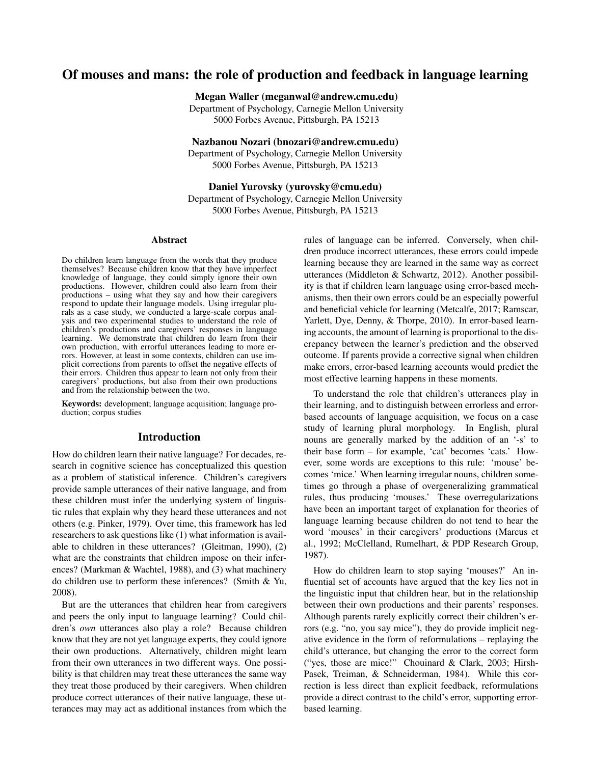# Of mouses and mans: the role of production and feedback in language learning

Megan Waller (meganwal@andrew.cmu.edu)

Department of Psychology, Carnegie Mellon University 5000 Forbes Avenue, Pittsburgh, PA 15213

Nazbanou Nozari (bnozari@andrew.cmu.edu) Department of Psychology, Carnegie Mellon University

5000 Forbes Avenue, Pittsburgh, PA 15213

Daniel Yurovsky (yurovsky@cmu.edu) Department of Psychology, Carnegie Mellon University 5000 Forbes Avenue, Pittsburgh, PA 15213

#### Abstract

Do children learn language from the words that they produce themselves? Because children know that they have imperfect knowledge of language, they could simply ignore their own productions. However, children could also learn from their productions – using what they say and how their caregivers respond to update their language models. Using irregular plurals as a case study, we conducted a large-scale corpus analysis and two experimental studies to understand the role of children's productions and caregivers' responses in language learning. We demonstrate that children do learn from their own production, with errorful utterances leading to more errors. However, at least in some contexts, children can use implicit corrections from parents to offset the negative effects of their errors. Children thus appear to learn not only from their caregivers' productions, but also from their own productions and from the relationship between the two.

Keywords: development; language acquisition; language production; corpus studies

### Introduction

How do children learn their native language? For decades, research in cognitive science has conceptualized this question as a problem of statistical inference. Children's caregivers provide sample utterances of their native language, and from these children must infer the underlying system of linguistic rules that explain why they heard these utterances and not others (e.g. Pinker, 1979). Over time, this framework has led researchers to ask questions like (1) what information is available to children in these utterances? (Gleitman, 1990), (2) what are the constraints that children impose on their inferences? (Markman & Wachtel, 1988), and (3) what machinery do children use to perform these inferences? (Smith & Yu, 2008).

But are the utterances that children hear from caregivers and peers the only input to language learning? Could children's *own* utterances also play a role? Because children know that they are not yet language experts, they could ignore their own productions. Alternatively, children might learn from their own utterances in two different ways. One possibility is that children may treat these utterances the same way they treat those produced by their caregivers. When children produce correct utterances of their native language, these utterances may may act as additional instances from which the rules of language can be inferred. Conversely, when children produce incorrect utterances, these errors could impede learning because they are learned in the same way as correct utterances (Middleton & Schwartz, 2012). Another possibility is that if children learn language using error-based mechanisms, then their own errors could be an especially powerful and beneficial vehicle for learning (Metcalfe, 2017; Ramscar, Yarlett, Dye, Denny, & Thorpe, 2010). In error-based learning accounts, the amount of learning is proportional to the discrepancy between the learner's prediction and the observed outcome. If parents provide a corrective signal when children make errors, error-based learning accounts would predict the most effective learning happens in these moments.

To understand the role that children's utterances play in their learning, and to distinguish between errorless and errorbased accounts of language acquisition, we focus on a case study of learning plural morphology. In English, plural nouns are generally marked by the addition of an '-s' to their base form – for example, 'cat' becomes 'cats.' However, some words are exceptions to this rule: 'mouse' becomes 'mice.' When learning irregular nouns, children sometimes go through a phase of overgeneralizing grammatical rules, thus producing 'mouses.' These overregularizations have been an important target of explanation for theories of language learning because children do not tend to hear the word 'mouses' in their caregivers' productions (Marcus et al., 1992; McClelland, Rumelhart, & PDP Research Group, 1987).

How do children learn to stop saying 'mouses?' An influential set of accounts have argued that the key lies not in the linguistic input that children hear, but in the relationship between their own productions and their parents' responses. Although parents rarely explicitly correct their children's errors (e.g. "no, you say mice"), they do provide implicit negative evidence in the form of reformulations – replaying the child's utterance, but changing the error to the correct form ("yes, those are mice!" Chouinard & Clark, 2003; Hirsh-Pasek, Treiman, & Schneiderman, 1984). While this correction is less direct than explicit feedback, reformulations provide a direct contrast to the child's error, supporting errorbased learning.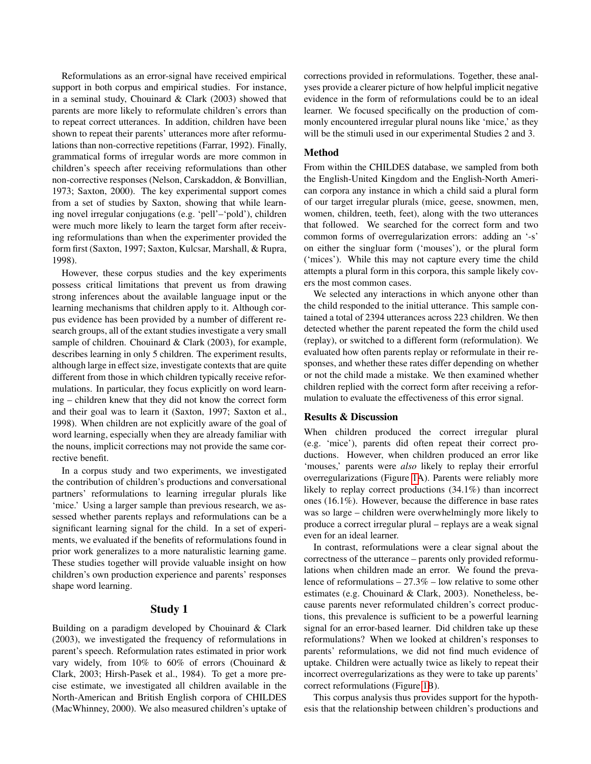Reformulations as an error-signal have received empirical support in both corpus and empirical studies. For instance, in a seminal study, Chouinard & Clark (2003) showed that parents are more likely to reformulate children's errors than to repeat correct utterances. In addition, children have been shown to repeat their parents' utterances more after reformulations than non-corrective repetitions (Farrar, 1992). Finally, grammatical forms of irregular words are more common in children's speech after receiving reformulations than other non-corrective responses (Nelson, Carskaddon, & Bonvillian, 1973; Saxton, 2000). The key experimental support comes from a set of studies by Saxton, showing that while learning novel irregular conjugations (e.g. 'pell'–'pold'), children were much more likely to learn the target form after receiving reformulations than when the experimenter provided the form first (Saxton, 1997; Saxton, Kulcsar, Marshall, & Rupra, 1998).

However, these corpus studies and the key experiments possess critical limitations that prevent us from drawing strong inferences about the available language input or the learning mechanisms that children apply to it. Although corpus evidence has been provided by a number of different research groups, all of the extant studies investigate a very small sample of children. Chouinard & Clark (2003), for example, describes learning in only 5 children. The experiment results, although large in effect size, investigate contexts that are quite different from those in which children typically receive reformulations. In particular, they focus explicitly on word learning – children knew that they did not know the correct form and their goal was to learn it (Saxton, 1997; Saxton et al., 1998). When children are not explicitly aware of the goal of word learning, especially when they are already familiar with the nouns, implicit corrections may not provide the same corrective benefit.

In a corpus study and two experiments, we investigated the contribution of children's productions and conversational partners' reformulations to learning irregular plurals like 'mice.' Using a larger sample than previous research, we assessed whether parents replays and reformulations can be a significant learning signal for the child. In a set of experiments, we evaluated if the benefits of reformulations found in prior work generalizes to a more naturalistic learning game. These studies together will provide valuable insight on how children's own production experience and parents' responses shape word learning.

### Study 1

Building on a paradigm developed by Chouinard & Clark (2003), we investigated the frequency of reformulations in parent's speech. Reformulation rates estimated in prior work vary widely, from 10% to 60% of errors (Chouinard & Clark, 2003; Hirsh-Pasek et al., 1984). To get a more precise estimate, we investigated all children available in the North-American and British English corpora of CHILDES (MacWhinney, 2000). We also measured children's uptake of corrections provided in reformulations. Together, these analyses provide a clearer picture of how helpful implicit negative evidence in the form of reformulations could be to an ideal learner. We focused specifically on the production of commonly encountered irregular plural nouns like 'mice,' as they will be the stimuli used in our experimental Studies 2 and 3.

## Method

From within the CHILDES database, we sampled from both the English-United Kingdom and the English-North American corpora any instance in which a child said a plural form of our target irregular plurals (mice, geese, snowmen, men, women, children, teeth, feet), along with the two utterances that followed. We searched for the correct form and two common forms of overregularization errors: adding an '-s' on either the singluar form ('mouses'), or the plural form ('mices'). While this may not capture every time the child attempts a plural form in this corpora, this sample likely covers the most common cases.

We selected any interactions in which anyone other than the child responded to the initial utterance. This sample contained a total of 2394 utterances across 223 children. We then detected whether the parent repeated the form the child used (replay), or switched to a different form (reformulation). We evaluated how often parents replay or reformulate in their responses, and whether these rates differ depending on whether or not the child made a mistake. We then examined whether children replied with the correct form after receiving a reformulation to evaluate the effectiveness of this error signal.

#### Results & Discussion

When children produced the correct irregular plural (e.g. 'mice'), parents did often repeat their correct productions. However, when children produced an error like 'mouses,' parents were *also* likely to replay their errorful overregularizations (Figure [1A](#page-2-0)). Parents were reliably more likely to replay correct productions (34.1%) than incorrect ones (16.1%). However, because the difference in base rates was so large – children were overwhelmingly more likely to produce a correct irregular plural – replays are a weak signal even for an ideal learner.

In contrast, reformulations were a clear signal about the correctness of the utterance – parents only provided reformulations when children made an error. We found the prevalence of reformulations – 27.3% – low relative to some other estimates (e.g. Chouinard & Clark, 2003). Nonetheless, because parents never reformulated children's correct productions, this prevalence is sufficient to be a powerful learning signal for an error-based learner. Did children take up these reformulations? When we looked at children's responses to parents' reformulations, we did not find much evidence of uptake. Children were actually twice as likely to repeat their incorrect overregularizations as they were to take up parents' correct reformulations (Figure [1B](#page-2-0)).

This corpus analysis thus provides support for the hypothesis that the relationship between children's productions and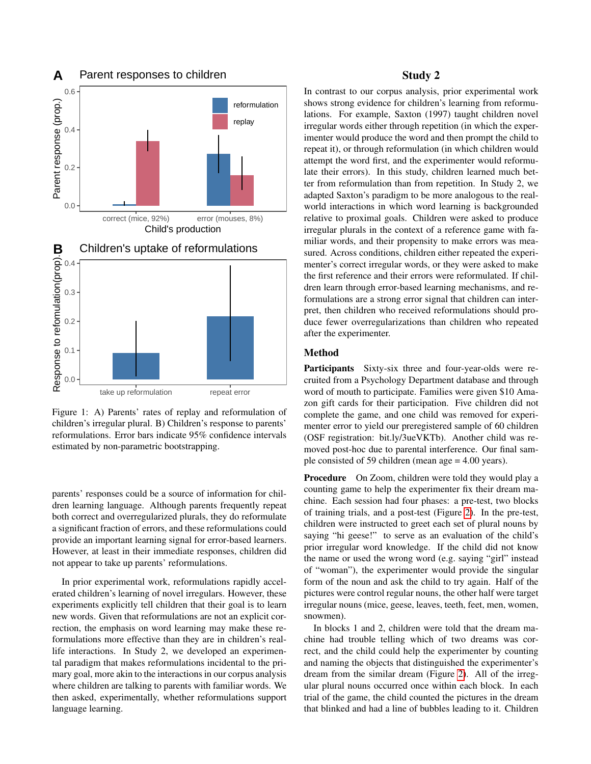<span id="page-2-0"></span>

Figure 1: A) Parents' rates of replay and reformulation of children's irregular plural. B) Children's response to parents' reformulations. Error bars indicate 95% confidence intervals estimated by non-parametric bootstrapping.

parents' responses could be a source of information for children learning language. Although parents frequently repeat both correct and overregularized plurals, they do reformulate a significant fraction of errors, and these reformulations could provide an important learning signal for error-based learners. However, at least in their immediate responses, children did not appear to take up parents' reformulations.

In prior experimental work, reformulations rapidly accelerated children's learning of novel irregulars. However, these experiments explicitly tell children that their goal is to learn new words. Given that reformulations are not an explicit correction, the emphasis on word learning may make these reformulations more effective than they are in children's reallife interactions. In Study 2, we developed an experimental paradigm that makes reformulations incidental to the primary goal, more akin to the interactions in our corpus analysis where children are talking to parents with familiar words. We then asked, experimentally, whether reformulations support language learning.

## Study 2

In contrast to our corpus analysis, prior experimental work shows strong evidence for children's learning from reformulations. For example, Saxton (1997) taught children novel irregular words either through repetition (in which the experimenter would produce the word and then prompt the child to repeat it), or through reformulation (in which children would attempt the word first, and the experimenter would reformulate their errors). In this study, children learned much better from reformulation than from repetition. In Study 2, we adapted Saxton's paradigm to be more analogous to the realworld interactions in which word learning is backgrounded relative to proximal goals. Children were asked to produce irregular plurals in the context of a reference game with familiar words, and their propensity to make errors was measured. Across conditions, children either repeated the experimenter's correct irregular words, or they were asked to make the first reference and their errors were reformulated. If children learn through error-based learning mechanisms, and reformulations are a strong error signal that children can interpret, then children who received reformulations should produce fewer overregularizations than children who repeated after the experimenter.

## Method

Participants Sixty-six three and four-year-olds were recruited from a Psychology Department database and through word of mouth to participate. Families were given \$10 Amazon gift cards for their participation. Five children did not complete the game, and one child was removed for experimenter error to yield our preregistered sample of 60 children (OSF registration: bit.ly/3ueVKTb). Another child was removed post-hoc due to parental interference. Our final sample consisted of 59 children (mean age = 4.00 years).

Procedure On Zoom, children were told they would play a counting game to help the experimenter fix their dream machine. Each session had four phases: a pre-test, two blocks of training trials, and a post-test (Figure [2\)](#page-3-0). In the pre-test, children were instructed to greet each set of plural nouns by saying "hi geese!" to serve as an evaluation of the child's prior irregular word knowledge. If the child did not know the name or used the wrong word (e.g. saying "girl" instead of "woman"), the experimenter would provide the singular form of the noun and ask the child to try again. Half of the pictures were control regular nouns, the other half were target irregular nouns (mice, geese, leaves, teeth, feet, men, women, snowmen).

In blocks 1 and 2, children were told that the dream machine had trouble telling which of two dreams was correct, and the child could help the experimenter by counting and naming the objects that distinguished the experimenter's dream from the similar dream (Figure [2\)](#page-3-0). All of the irregular plural nouns occurred once within each block. In each trial of the game, the child counted the pictures in the dream that blinked and had a line of bubbles leading to it. Children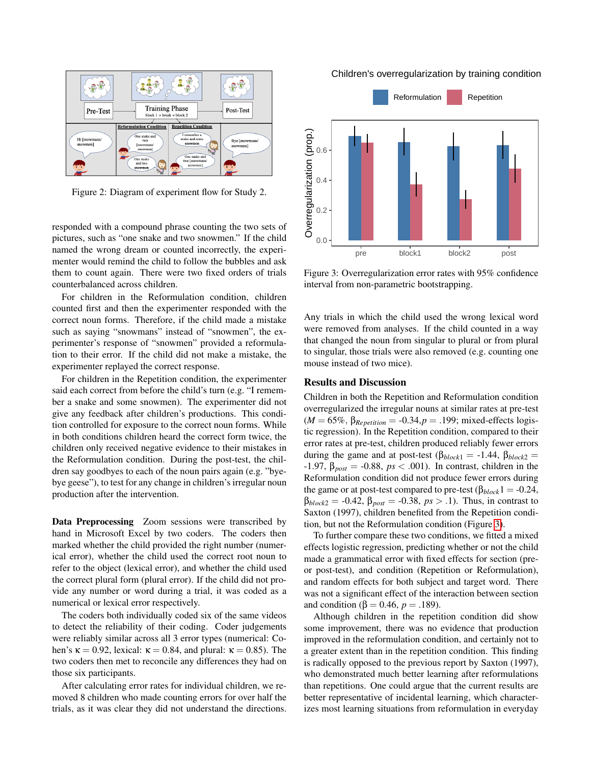<span id="page-3-0"></span>

Figure 2: Diagram of experiment flow for Study 2.

responded with a compound phrase counting the two sets of pictures, such as "one snake and two snowmen." If the child named the wrong dream or counted incorrectly, the experimenter would remind the child to follow the bubbles and ask them to count again. There were two fixed orders of trials counterbalanced across children.

For children in the Reformulation condition, children counted first and then the experimenter responded with the correct noun forms. Therefore, if the child made a mistake such as saying "snowmans" instead of "snowmen", the experimenter's response of "snowmen" provided a reformulation to their error. If the child did not make a mistake, the experimenter replayed the correct response.

For children in the Repetition condition, the experimenter said each correct from before the child's turn (e.g. "I remember a snake and some snowmen). The experimenter did not give any feedback after children's productions. This condition controlled for exposure to the correct noun forms. While in both conditions children heard the correct form twice, the children only received negative evidence to their mistakes in the Reformulation condition. During the post-test, the children say goodbyes to each of the noun pairs again (e.g. "byebye geese"), to test for any change in children's irregular noun production after the intervention.

Data Preprocessing Zoom sessions were transcribed by hand in Microsoft Excel by two coders. The coders then marked whether the child provided the right number (numerical error), whether the child used the correct root noun to refer to the object (lexical error), and whether the child used the correct plural form (plural error). If the child did not provide any number or word during a trial, it was coded as a numerical or lexical error respectively.

The coders both individually coded six of the same videos to detect the reliability of their coding. Coder judgements were reliably similar across all 3 error types (numerical: Cohen's  $\kappa = 0.92$ , lexical:  $\kappa = 0.84$ , and plural:  $\kappa = 0.85$ ). The two coders then met to reconcile any differences they had on those six participants.

After calculating error rates for individual children, we removed 8 children who made counting errors for over half the trials, as it was clear they did not understand the directions.

Children's overregularization by training condition

<span id="page-3-1"></span>

Figure 3: Overregularization error rates with 95% confidence interval from non-parametric bootstrapping.

Any trials in which the child used the wrong lexical word were removed from analyses. If the child counted in a way that changed the noun from singular to plural or from plural to singular, those trials were also removed (e.g. counting one mouse instead of two mice).

## Results and Discussion

Children in both the Repetition and Reformulation condition overregularized the irregular nouns at similar rates at pre-test  $(M = 65\%, \beta_{Repetition} = -0.34, p = .199; mixed-effects logis$ tic regression). In the Repetition condition, compared to their error rates at pre-test, children produced reliably fewer errors during the game and at post-test ( $\beta_{block1} = -1.44$ ,  $\beta_{block2} =$  $-1.97$ ,  $\beta_{post} = -0.88$ ,  $ps < .001$ ). In contrast, children in the Reformulation condition did not produce fewer errors during the game or at post-test compared to pre-test ( $β_{block}1 = -0.24$ , β*block*<sup>2</sup> = -0.42, β*post* = -0.38, *ps* > .1). Thus, in contrast to Saxton (1997), children benefited from the Repetition condition, but not the Reformulation condition (Figure [3\)](#page-3-1).

To further compare these two conditions, we fitted a mixed effects logistic regression, predicting whether or not the child made a grammatical error with fixed effects for section (preor post-test), and condition (Repetition or Reformulation), and random effects for both subject and target word. There was not a significant effect of the interaction between section and condition (β = 0.46,  $p = .189$ ).

Although children in the repetition condition did show some improvement, there was no evidence that production improved in the reformulation condition, and certainly not to a greater extent than in the repetition condition. This finding is radically opposed to the previous report by Saxton (1997), who demonstrated much better learning after reformulations than repetitions. One could argue that the current results are better representative of incidental learning, which characterizes most learning situations from reformulation in everyday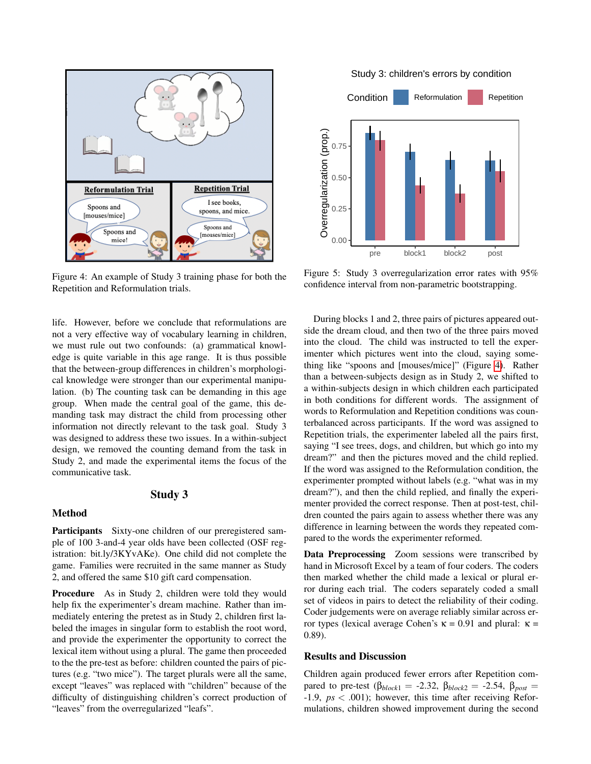<span id="page-4-0"></span>

Figure 4: An example of Study 3 training phase for both the Repetition and Reformulation trials.

life. However, before we conclude that reformulations are not a very effective way of vocabulary learning in children, we must rule out two confounds: (a) grammatical knowledge is quite variable in this age range. It is thus possible that the between-group differences in children's morphological knowledge were stronger than our experimental manipulation. (b) The counting task can be demanding in this age group. When made the central goal of the game, this demanding task may distract the child from processing other information not directly relevant to the task goal. Study 3 was designed to address these two issues. In a within-subject design, we removed the counting demand from the task in Study 2, and made the experimental items the focus of the communicative task.

# Study 3

#### Method

Participants Sixty-one children of our preregistered sample of 100 3-and-4 year olds have been collected (OSF registration: bit.ly/3KYvAKe). One child did not complete the game. Families were recruited in the same manner as Study 2, and offered the same \$10 gift card compensation.

Procedure As in Study 2, children were told they would help fix the experimenter's dream machine. Rather than immediately entering the pretest as in Study 2, children first labeled the images in singular form to establish the root word, and provide the experimenter the opportunity to correct the lexical item without using a plural. The game then proceeded to the the pre-test as before: children counted the pairs of pictures (e.g. "two mice"). The target plurals were all the same, except "leaves" was replaced with "children" because of the difficulty of distinguishing children's correct production of "leaves" from the overregularized "leafs".

Study 3: children's errors by condition

<span id="page-4-1"></span>

Figure 5: Study 3 overregularization error rates with 95% confidence interval from non-parametric bootstrapping.

During blocks 1 and 2, three pairs of pictures appeared outside the dream cloud, and then two of the three pairs moved into the cloud. The child was instructed to tell the experimenter which pictures went into the cloud, saying something like "spoons and [mouses/mice]" (Figure [4\)](#page-4-0). Rather than a between-subjects design as in Study 2, we shifted to a within-subjects design in which children each participated in both conditions for different words. The assignment of words to Reformulation and Repetition conditions was counterbalanced across participants. If the word was assigned to Repetition trials, the experimenter labeled all the pairs first, saying "I see trees, dogs, and children, but which go into my dream?" and then the pictures moved and the child replied. If the word was assigned to the Reformulation condition, the experimenter prompted without labels (e.g. "what was in my dream?"), and then the child replied, and finally the experimenter provided the correct response. Then at post-test, children counted the pairs again to assess whether there was any difference in learning between the words they repeated compared to the words the experimenter reformed.

Data Preprocessing Zoom sessions were transcribed by hand in Microsoft Excel by a team of four coders. The coders then marked whether the child made a lexical or plural error during each trial. The coders separately coded a small set of videos in pairs to detect the reliability of their coding. Coder judgements were on average reliably similar across error types (lexical average Cohen's  $κ = 0.91$  and plural:  $κ =$ 0.89).

#### Results and Discussion

Children again produced fewer errors after Repetition compared to pre-test ( $\beta_{block1} = -2.32$ ,  $\beta_{block2} = -2.54$ ,  $\beta_{post} =$ -1.9, *ps* < .001); however, this time after receiving Reformulations, children showed improvement during the second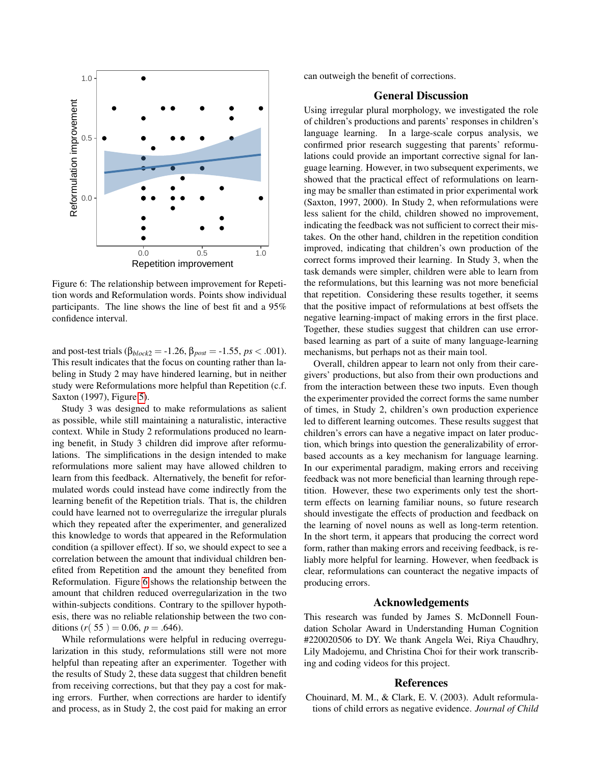<span id="page-5-0"></span>

Figure 6: The relationship between improvement for Repetition words and Reformulation words. Points show individual participants. The line shows the line of best fit and a 95% confidence interval.

and post-test trials ( $β_{block2} = -1.26$ ,  $β_{post} = -1.55$ ,  $ps < .001$ ). This result indicates that the focus on counting rather than labeling in Study 2 may have hindered learning, but in neither study were Reformulations more helpful than Repetition (c.f. Saxton (1997), Figure [5\)](#page-4-1).

Study 3 was designed to make reformulations as salient as possible, while still maintaining a naturalistic, interactive context. While in Study 2 reformulations produced no learning benefit, in Study 3 children did improve after reformulations. The simplifications in the design intended to make reformulations more salient may have allowed children to learn from this feedback. Alternatively, the benefit for reformulated words could instead have come indirectly from the learning benefit of the Repetition trials. That is, the children could have learned not to overregularize the irregular plurals which they repeated after the experimenter, and generalized this knowledge to words that appeared in the Reformulation condition (a spillover effect). If so, we should expect to see a correlation between the amount that individual children benefited from Repetition and the amount they benefited from Reformulation. Figure [6](#page-5-0) shows the relationship between the amount that children reduced overregularization in the two within-subjects conditions. Contrary to the spillover hypothesis, there was no reliable relationship between the two conditions  $(r(55) = 0.06, p = .646)$ .

While reformulations were helpful in reducing overregularization in this study, reformulations still were not more helpful than repeating after an experimenter. Together with the results of Study 2, these data suggest that children benefit from receiving corrections, but that they pay a cost for making errors. Further, when corrections are harder to identify and process, as in Study 2, the cost paid for making an error can outweigh the benefit of corrections.

# General Discussion

Using irregular plural morphology, we investigated the role of children's productions and parents' responses in children's language learning. In a large-scale corpus analysis, we confirmed prior research suggesting that parents' reformulations could provide an important corrective signal for language learning. However, in two subsequent experiments, we showed that the practical effect of reformulations on learning may be smaller than estimated in prior experimental work (Saxton, 1997, 2000). In Study 2, when reformulations were less salient for the child, children showed no improvement, indicating the feedback was not sufficient to correct their mistakes. On the other hand, children in the repetition condition improved, indicating that children's own production of the correct forms improved their learning. In Study 3, when the task demands were simpler, children were able to learn from the reformulations, but this learning was not more beneficial that repetition. Considering these results together, it seems that the positive impact of reformulations at best offsets the negative learning-impact of making errors in the first place. Together, these studies suggest that children can use errorbased learning as part of a suite of many language-learning mechanisms, but perhaps not as their main tool.

Overall, children appear to learn not only from their caregivers' productions, but also from their own productions and from the interaction between these two inputs. Even though the experimenter provided the correct forms the same number of times, in Study 2, children's own production experience led to different learning outcomes. These results suggest that children's errors can have a negative impact on later production, which brings into question the generalizability of errorbased accounts as a key mechanism for language learning. In our experimental paradigm, making errors and receiving feedback was not more beneficial than learning through repetition. However, these two experiments only test the shortterm effects on learning familiar nouns, so future research should investigate the effects of production and feedback on the learning of novel nouns as well as long-term retention. In the short term, it appears that producing the correct word form, rather than making errors and receiving feedback, is reliably more helpful for learning. However, when feedback is clear, reformulations can counteract the negative impacts of producing errors.

#### Acknowledgements

This research was funded by James S. McDonnell Foundation Scholar Award in Understanding Human Cognition #220020506 to DY. We thank Angela Wei, Riya Chaudhry, Lily Madojemu, and Christina Choi for their work transcribing and coding videos for this project.

#### References

Chouinard, M. M., & Clark, E. V. (2003). Adult reformulations of child errors as negative evidence. *Journal of Child*